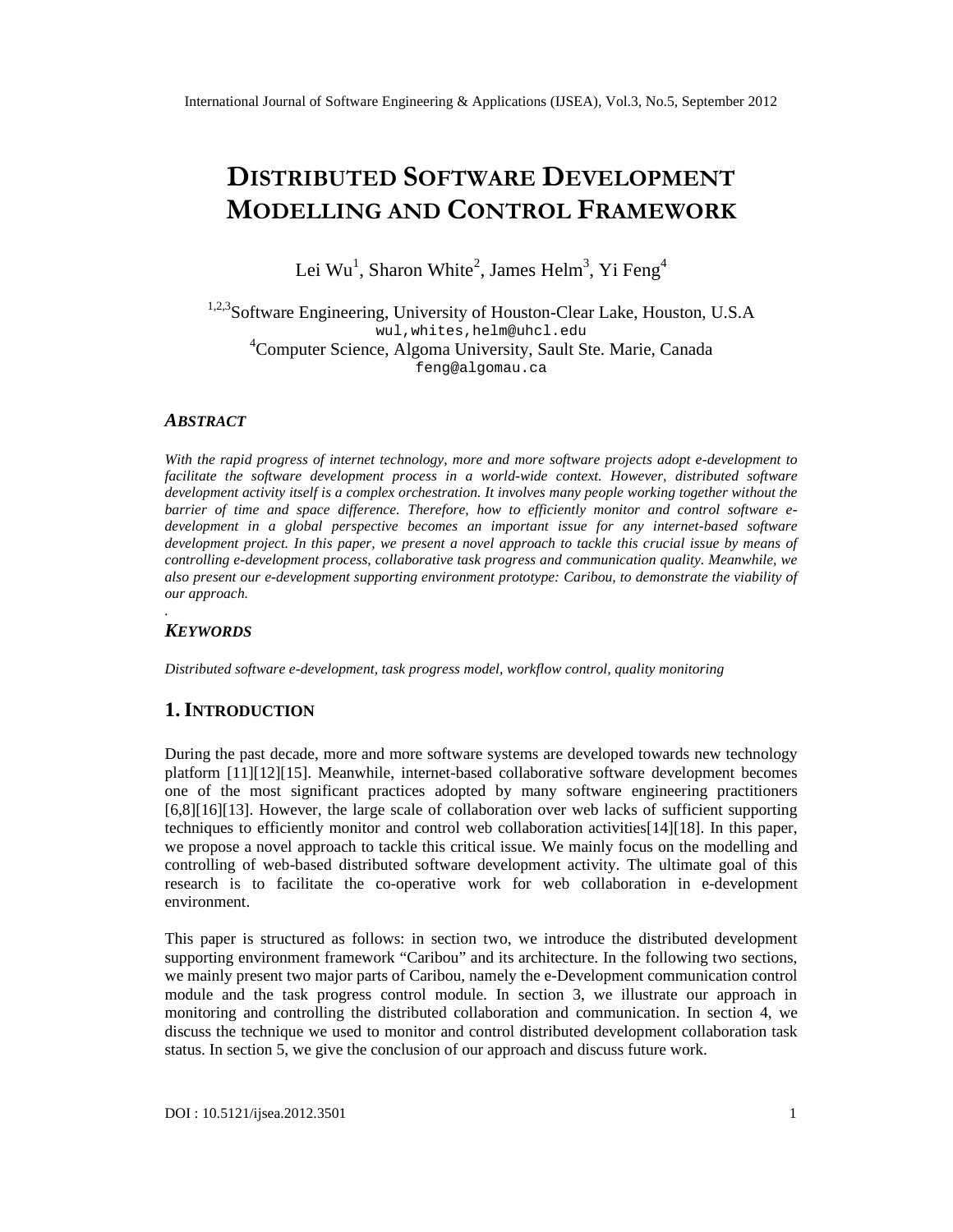# DISTRIBUT**SOF**TWARDEVELOPMENT MODELLING ACCONTROFERAMEWORK

Lei Wu<sup>1</sup>, Sharon Whitể, James Helm, Yi Feng<sup>4</sup>

#### <sup>1,2,3</sup>SoftwareEngineeringUniversity of HoustonClear Lake Houston U.S.A wul,whites ,helm [@uhcl.edu](mailto:helm@uhcl.edu) <sup>4</sup>Computer Science, Inoma University, Sault Ste. Marie, Canada [feng@algomau.ca](mailto:feng@algomau.ca)

#### ABSTRACT

With the rapid progress of internet technology, more and more software projects adoptelopment to facilitate the software development processa world-wide context. However, distributed software development activity itself is a complex orchestration. It involves many people working together without the barrier of time and space difference. Therefore, how to efficiently monitor and control software e developmentin a global perspective becomes an important issue for any intbased software development project. In this paper, we present a novel approach to tackle this crucial issue by means of controlling edevelopment process, collaborative task progresscand munication quality. Meanwhile, we also present our-development supporting environment prototype: Caribou, to demonstrate the viability of our approach.

# **KEYWORDS**

.

Distributedsoftwaree-development, task progress model, workfotomtrol, qualitymonitoring

# 1.I NTRODUCTION

During the past decade, more and more software systems are developed towards new technology platform [11][12][15]. Meanwhile, internebased collaborative software development becomes one of the most significant practices adopted rbany software engineering practitioners [6,8][16][13]. However, the large scale of collaboration over web lacks of sufficient supporting techniques to efficiently monitor and control web collaboration activited 81. In this paper, we propose a novel pproach to tackle this critical issue. We mainly focus om to delling and controlling of webbaseddistributed software development activity. The ultimate goal of this research is to facilitate the coperative work for web collaboration in-developmet environment.

This paper is structured as follows: in section two, we introduce the buted development supportingenvironment framework€Caribou•and its architecture. In the following two sections, we mainly present two major parts of Caribou, **Banthe eDevelopment communication control** module and the task progress control module. In section 3, we illustrate our approach in monitoring and controlling the istributed collaboration and ommunication. In section 4, we discuss the technique we usted monitor and controd istributed development collaboration task status. In section 5, we give the conclusion of our approach and discuss future work.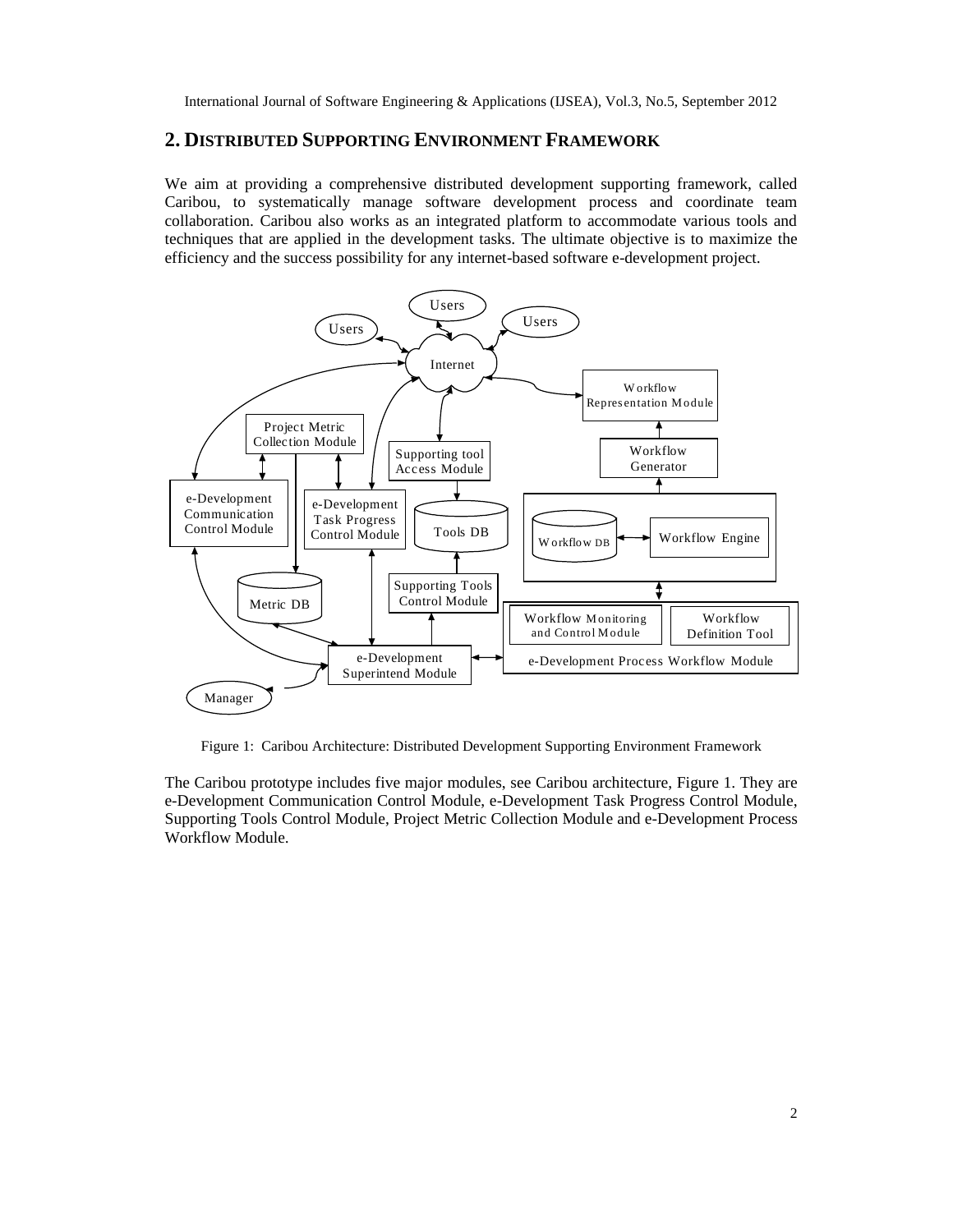# **2. DISTRIBUTED SUPPORTING ENVIRONMENT FRAMEWORK**

We aim at providing a comprehensive distributed development supporting framework, called Caribou, to systematically manage software development process and coordinate team collaboration. Caribou also works as an integrated platform to accommodate various tools and techniques that are applied in the development tasks. The ultimate objective is to maximize the efficiency and the success possibility for any internet-based software e-development project.



Figure 1: Caribou Architecture: Distributed Development Supporting Environment Framework

The Caribou prototype includes five major modules, see Caribou architecture, Figure 1. They are e-Development Communication Control Module, e-Development Task Progress Control Module, Supporting Tools Control Module, Project Metric Collection Module and e-Development Process Workflow Module.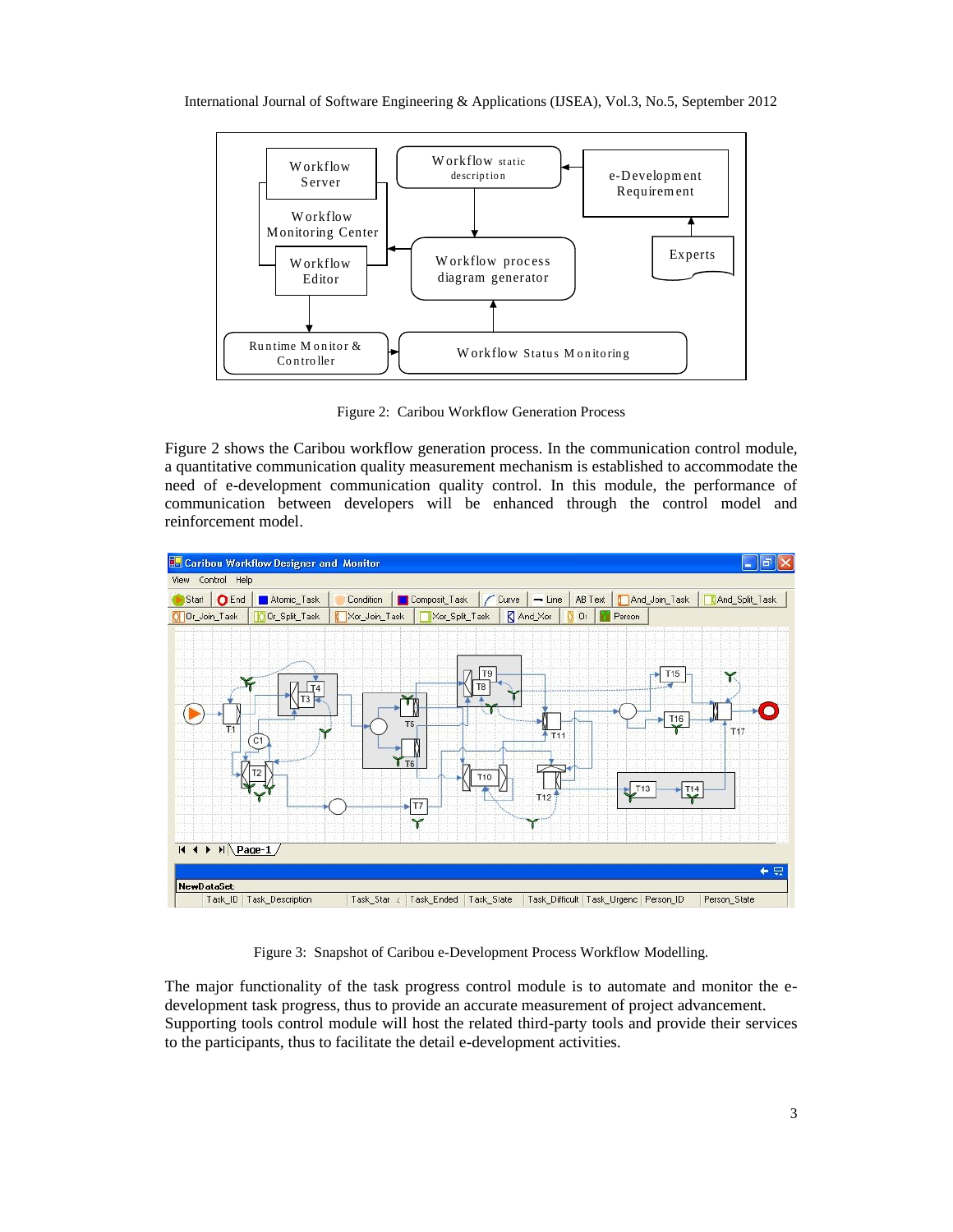International Journal of Software Engineering & Applications (IJSEA), Vol.3, No.5, September 2012



Figure 2: Caribou Workflow Generation Process

Figure 2 shows the Caribou workflow generation process. In the communication control module, a quantitative communication quality measurement mechanism is established to accommodate the need of e-development communication quality control. In this module, the performance of communication between developers will be enhanced through the control model and reinforcement model.



Figure 3: Snapshot of Caribou e-Development Process Workflow Modelling.

The major functionality of the task progress control module is to automate and monitor the edevelopment task progress, thus to provide an accurate measurement of project advancement. Supporting tools control module will host the related third-party tools and provide their services to the participants, thus to facilitate the detail e-development activities.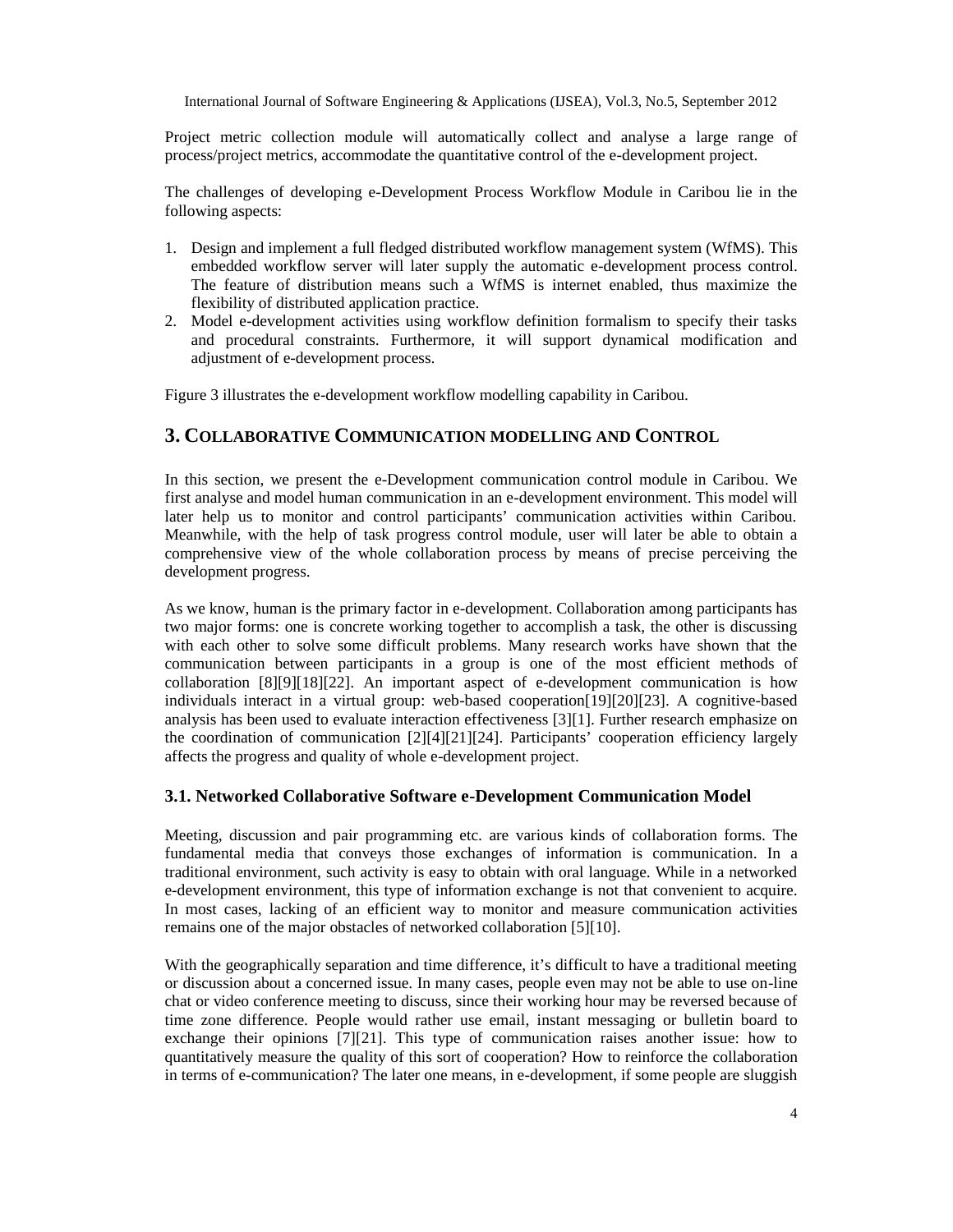Project metric collection module will automatically collect and analyse a large range of process/project metrics, accommodate the quantitative control of the e-development project.

The challenges of developing e-Development Process Workflow Module in Caribou lie in the following aspects:

- 1. Design and implement a full fledged distributed workflow management system (WfMS). This embedded workflow server will later supply the automatic e-development process control. The feature of distribution means such a WfMS is internet enabled, thus maximize the flexibility of distributed application practice.
- 2. Model e-development activities using workflow definition formalism to specify their tasks and procedural constraints. Furthermore, it will support dynamical modification and adjustment of e-development process.

Figure 3 illustrates the e-development workflow modelling capability in Caribou.

# **3. COLLABORATIVE COMMUNICATION MODELLING AND CONTROL**

In this section, we present the e-Development communication control module in Caribou. We first analyse and model human communication in an e-development environment. This model will later help us to monitor and control participants' communication activities within Caribou. Meanwhile, with the help of task progress control module, user will later be able to obtain a comprehensive view of the whole collaboration process by means of precise perceiving the development progress.

As we know, human is the primary factor in e-development. Collaboration among participants has two major forms: one is concrete working together to accomplish a task, the other is discussing with each other to solve some difficult problems. Many research works have shown that the communication between participants in a group is one of the most efficient methods of collaboration [8][9][18][22]. An important aspect of e-development communication is how individuals interact in a virtual group: web-based cooperation[19][20][23]. A cognitive-based analysis has been used to evaluate interaction effectiveness [3][1]. Further research emphasize on the coordination of communication [2][4][21][24]. Participants' cooperation efficiency largely affects the progress and quality of whole e-development project.

#### **3.1. Networked Collaborative Software e-Development Communication Model**

Meeting, discussion and pair programming etc. are various kinds of collaboration forms. The fundamental media that conveys those exchanges of information is communication. In a traditional environment, such activity is easy to obtain with oral language. While in a networked e-development environment, this type of information exchange is not that convenient to acquire. In most cases, lacking of an efficient way to monitor and measure communication activities remains one of the major obstacles of networked collaboration [5][10].

With the geographically separation and time difference, it's difficult to have a traditional meeting or discussion about a concerned issue. In many cases, people even may not be able to use on-line chat or video conference meeting to discuss, since their working hour may be reversed because of time zone difference. People would rather use email, instant messaging or bulletin board to exchange their opinions [7][21]. This type of communication raises another issue: how to quantitatively measure the quality of this sort of cooperation? How to reinforce the collaboration in terms of e-communication? The later one means, in e-development, if some people are sluggish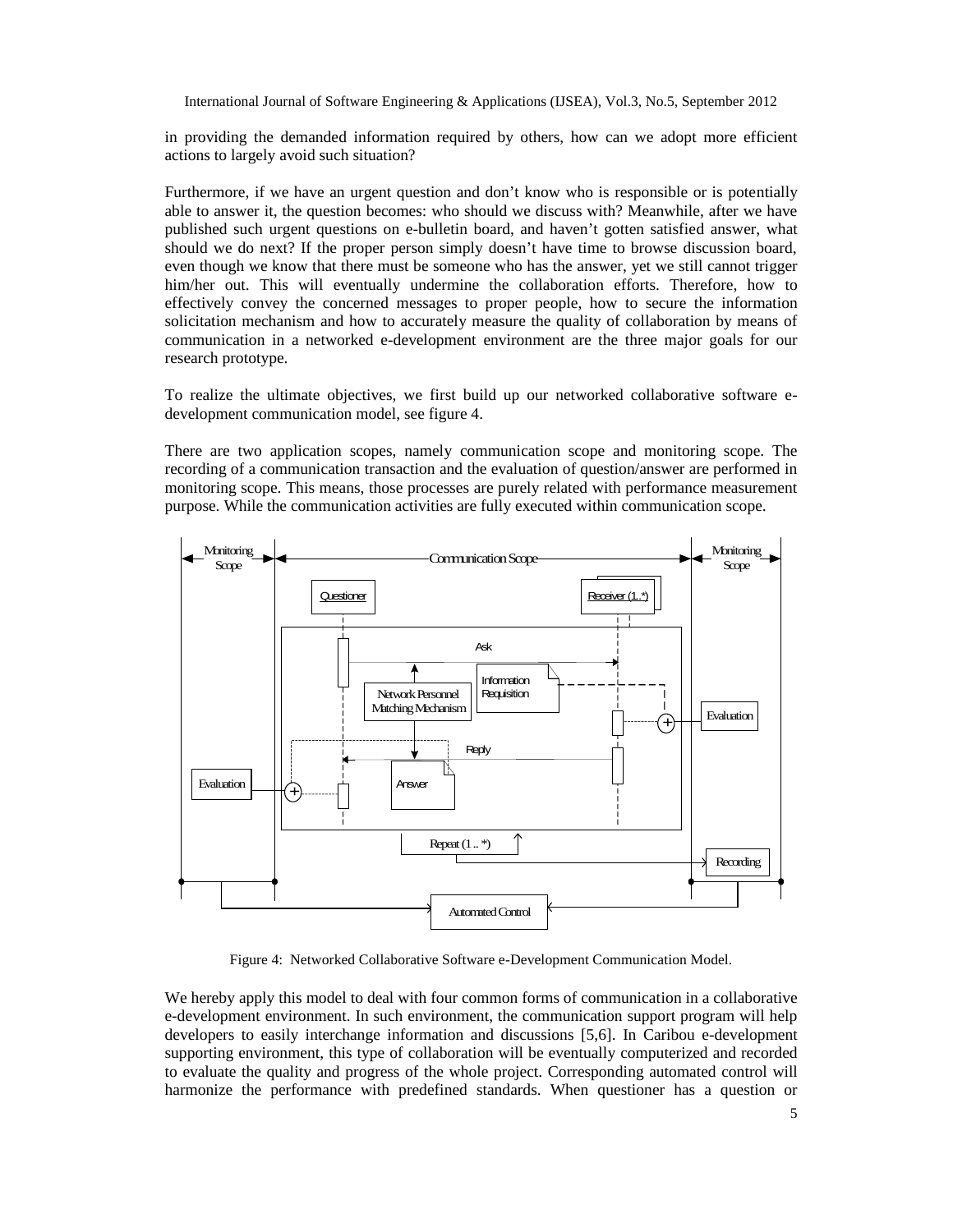in providing the demanded information required by others, how can we adopt more efficient actions to largely avoid such situation?

Furthermore, if we have an urgent question and don't know who is responsible or is potentially able to answer it, the question becomes: who should we discuss with? Meanwhile, after we have published such urgent questions on e-bulletin board, and haven't gotten satisfied answer, what should we do next? If the proper person simply doesn't have time to browse discussion board, even though we know that there must be someone who has the answer, yet we still cannot trigger him/her out. This will eventually undermine the collaboration efforts. Therefore, how to effectively convey the concerned messages to proper people, how to secure the information solicitation mechanism and how to accurately measure the quality of collaboration by means of communication in a networked e-development environment are the three major goals for our research prototype.

To realize the ultimate objectives, we first build up our networked collaborative software edevelopment communication model, see figure 4.

There are two application scopes, namely communication scope and monitoring scope. The recording of a communication transaction and the evaluation of question/answer are performed in monitoring scope. This means, those processes are purely related with performance measurement purpose. While the communication activities are fully executed within communication scope.



Figure 4: Networked Collaborative Software e-Development Communication Model.

We hereby apply this model to deal with four common forms of communication in a collaborative e-development environment. In such environment, the communication support program will help developers to easily interchange information and discussions [5,6]. In Caribou e-development supporting environment, this type of collaboration will be eventually computerized and recorded to evaluate the quality and progress of the whole project. Corresponding automated control will harmonize the performance with predefined standards. When questioner has a question or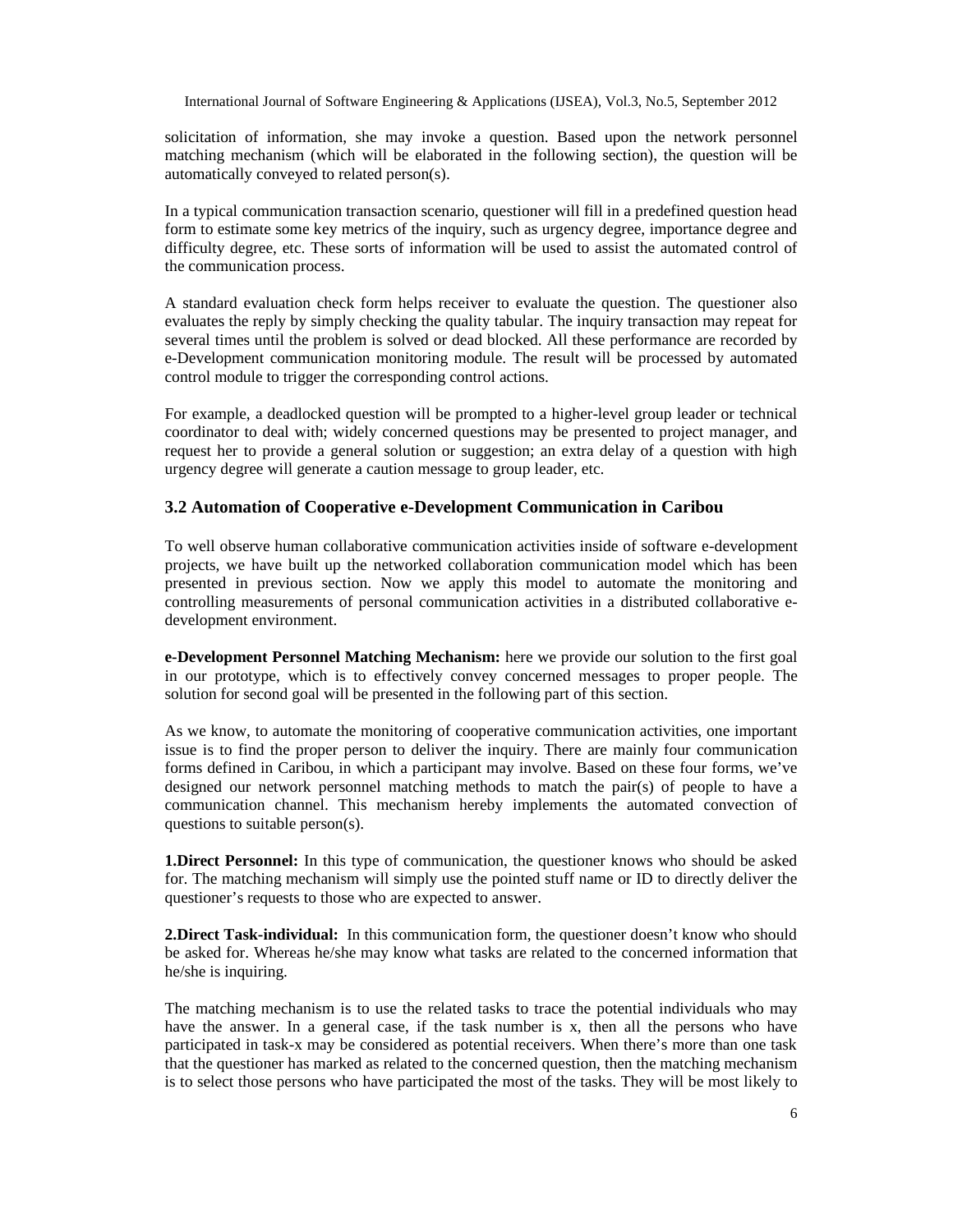solicitation of information, she may invoke a question. Based upon the network personnel matching mechanism (which will be elaborated in the following section), the question will be automatically conveyed to related person(s).

In a typical communication transaction scenario, questioner will fill in a predefined question head form to estimate some key metrics of the inquiry, such as urgency degree, importance degree and difficulty degree, etc. These sorts of information will be used to assist the automated control of the communication process.

A standard evaluation check form helps receiver to evaluate the question. The questioner also evaluates the reply by simply checking the quality tabular. The inquiry transaction may repeat for several times until the problem is solved or dead blocked. All these performance are recorded by e-Development communication monitoring module. The result will be processed by automated control module to trigger the corresponding control actions.

For example, a deadlocked question will be prompted to a higher-level group leader or technical coordinator to deal with; widely concerned questions may be presented to project manager, and request her to provide a general solution or suggestion; an extra delay of a question with high urgency degree will generate a caution message to group leader, etc.

#### **3.2 Automation of Cooperative e-Development Communication in Caribou**

To well observe human collaborative communication activities inside of software e-development projects, we have built up the networked collaboration communication model which has been presented in previous section. Now we apply this model to automate the monitoring and controlling measurements of personal communication activities in a distributed collaborative edevelopment environment.

**e-Development Personnel Matching Mechanism:** here we provide our solution to the first goal in our prototype, which is to effectively convey concerned messages to proper people. The solution for second goal will be presented in the following part of this section.

As we know, to automate the monitoring of cooperative communication activities, one important issue is to find the proper person to deliver the inquiry. There are mainly four communication forms defined in Caribou, in which a participant may involve. Based on these four forms, we've designed our network personnel matching methods to match the pair(s) of people to have a communication channel. This mechanism hereby implements the automated convection of questions to suitable person(s).

**1.Direct Personnel:** In this type of communication, the questioner knows who should be asked for. The matching mechanism will simply use the pointed stuff name or ID to directly deliver the questioner's requests to those who are expected to answer.

**2.Direct Task-individual:** In this communication form, the questioner doesn't know who should be asked for. Whereas he/she may know what tasks are related to the concerned information that he/she is inquiring.

The matching mechanism is to use the related tasks to trace the potential individuals who may have the answer. In a general case, if the task number is x, then all the persons who have participated in task-x may be considered as potential receivers. When there's more than one task that the questioner has marked as related to the concerned question, then the matching mechanism is to select those persons who have participated the most of the tasks. They will be most likely to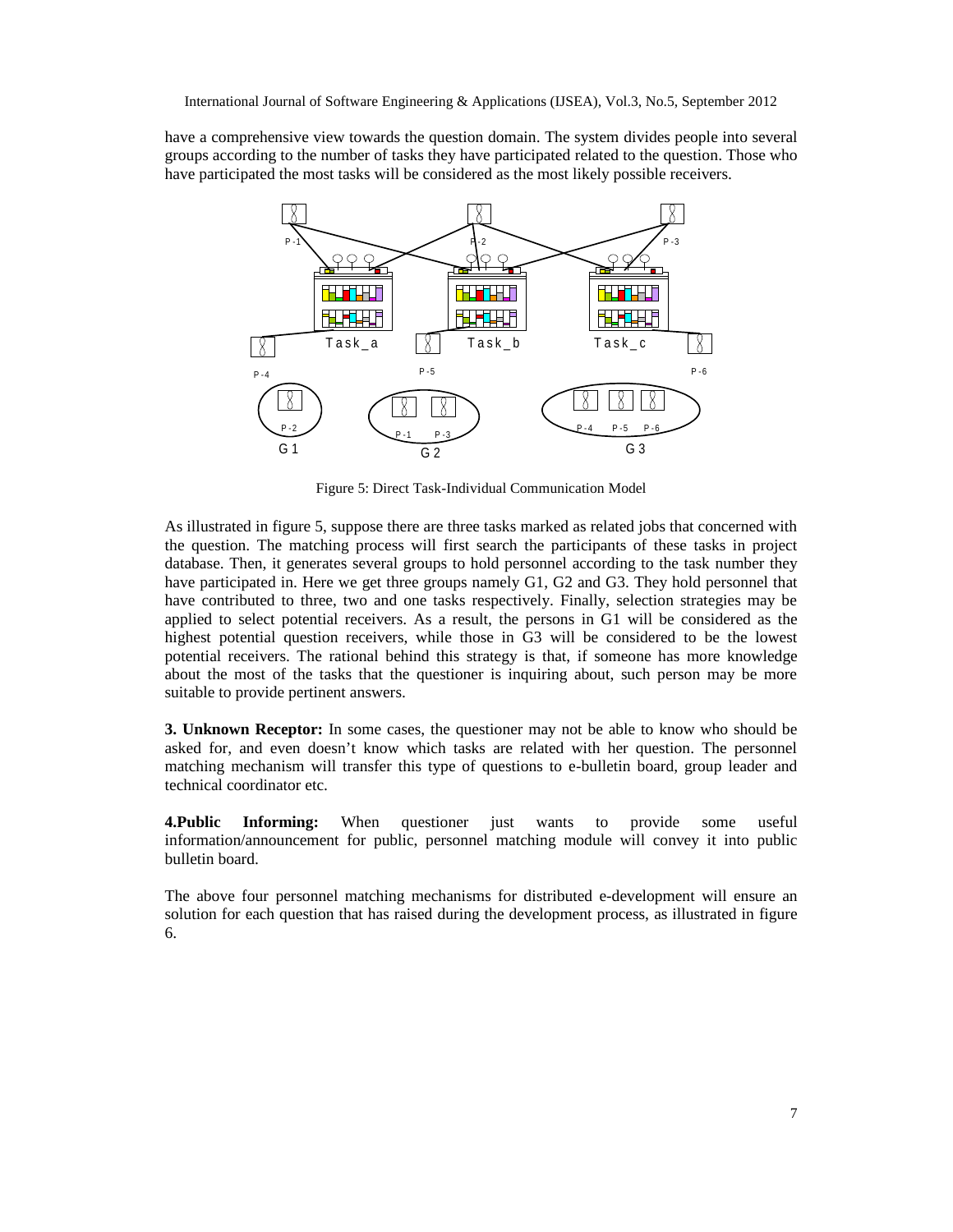have a comprehensive view towards the question domain. The system divides people into several groups according to the number of tasks they have participated related to the question. Those who have participated the most tasks will be considered as the most likely possible receivers.



Figure 5: Direct Task-Individual Communication Model

As illustrated in figure 5, suppose there are three tasks marked as related jobs that concerned with the question. The matching process will first search the participants of these tasks in project database. Then, it generates several groups to hold personnel according to the task number they have participated in. Here we get three groups namely G1, G2 and G3. They hold personnel that have contributed to three, two and one tasks respectively. Finally, selection strategies may be applied to select potential receivers. As a result, the persons in G1 will be considered as the highest potential question receivers, while those in G3 will be considered to be the lowest potential receivers. The rational behind this strategy is that, if someone has more knowledge about the most of the tasks that the questioner is inquiring about, such person may be more suitable to provide pertinent answers.

**3. Unknown Receptor:** In some cases, the questioner may not be able to know who should be asked for, and even doesn't know which tasks are related with her question. The personnel matching mechanism will transfer this type of questions to e-bulletin board, group leader and technical coordinator etc.

**4.Public Informing:** When questioner just wants to provide some useful information/announcement for public, personnel matching module will convey it into public bulletin board.

The above four personnel matching mechanisms for distributed e-development will ensure an solution for each question that has raised during the development process, as illustrated in figure 6.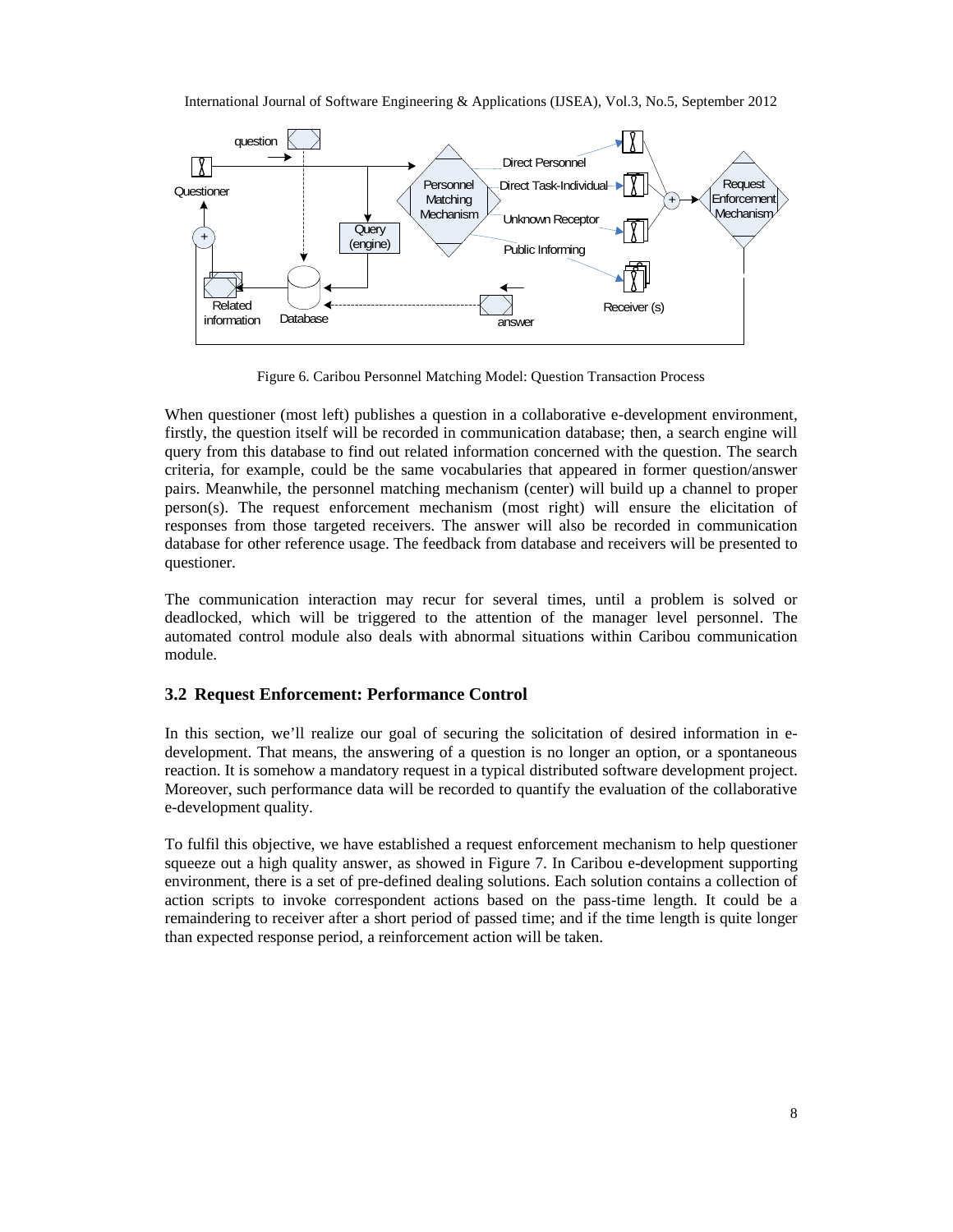

Figure 6. Caribou Personnel Matching Model: Question Transaction Process

When questioner (most left) publishes a question in a collaborative e-development environment, firstly, the question itself will be recorded in communication database; then, a search engine will query from this database to find out related information concerned with the question. The search criteria, for example, could be the same vocabularies that appeared in former question/answer pairs. Meanwhile, the personnel matching mechanism (center) will build up a channel to proper person(s). The request enforcement mechanism (most right) will ensure the elicitation of responses from those targeted receivers. The answer will also be recorded in communication database for other reference usage. The feedback from database and receivers will be presented to questioner.

The communication interaction may recur for several times, until a problem is solved or deadlocked, which will be triggered to the attention of the manager level personnel. The automated control module also deals with abnormal situations within Caribou communication module.

# **3.2 Request Enforcement: Performance Control**

In this section, we'll realize our goal of securing the solicitation of desired information in edevelopment. That means, the answering of a question is no longer an option, or a spontaneous reaction. It is somehow a mandatory request in a typical distributed software development project. Moreover, such performance data will be recorded to quantify the evaluation of the collaborative e-development quality.

To fulfil this objective, we have established a request enforcement mechanism to help questioner squeeze out a high quality answer, as showed in Figure 7. In Caribou e-development supporting environment, there is a set of pre-defined dealing solutions. Each solution contains a collection of action scripts to invoke correspondent actions based on the pass-time length. It could be a remaindering to receiver after a short period of passed time; and if the time length is quite longer than expected response period, a reinforcement action will be taken.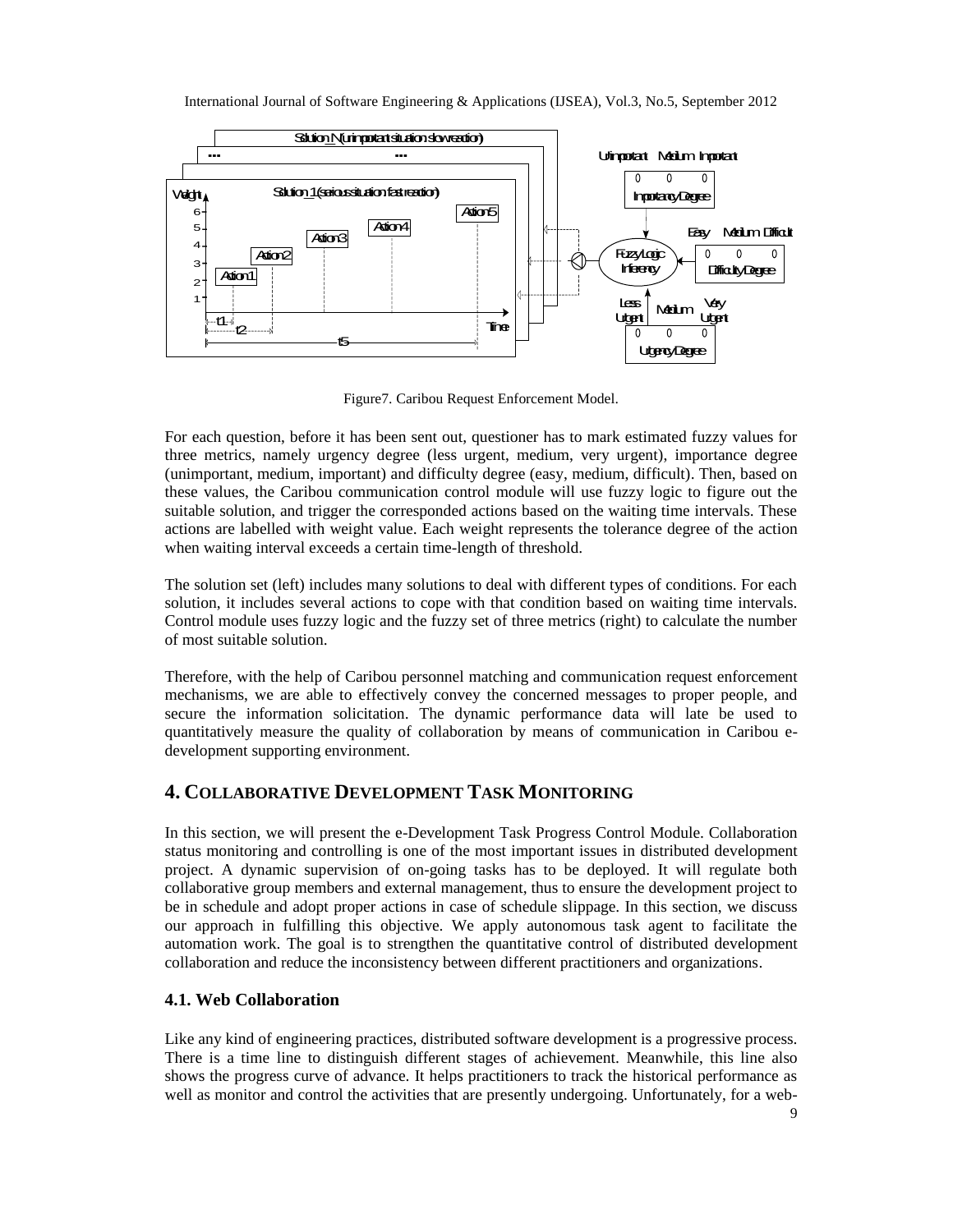

Figure7. Caribou Request Enforcement Model.

For each question, before it has been sent out, questioner has to mark estimated fuzzy values for three metrics, namely urgency degree (less urgent, medium, very urgent), importance degree (unimportant, medium, important) and difficulty degree (easy, medium, difficult). Then, based on these values, the Caribou communication control module will use fuzzy logic to figure out the suitable solution, and trigger the corresponded actions based on the waiting time intervals. These actions are labelled with weight value. Each weight represents the tolerance degree of the action when waiting interval exceeds a certain time-length of threshold.

The solution set (left) includes many solutions to deal with different types of conditions. For each solution, it includes several actions to cope with that condition based on waiting time intervals. Control module uses fuzzy logic and the fuzzy set of three metrics (right) to calculate the number of most suitable solution.

Therefore, with the help of Caribou personnel matching and communication request enforcement mechanisms, we are able to effectively convey the concerned messages to proper people, and secure the information solicitation. The dynamic performance data will late be used to quantitatively measure the quality of collaboration by means of communication in Caribou edevelopment supporting environment.

# **4. COLLABORATIVE DEVELOPMENT TASK MONITORING**

In this section, we will present the e-Development Task Progress Control Module. Collaboration status monitoring and controlling is one of the most important issues in distributed development project. A dynamic supervision of on-going tasks has to be deployed. It will regulate both collaborative group members and external management, thus to ensure the development project to be in schedule and adopt proper actions in case of schedule slippage. In this section, we discuss our approach in fulfilling this objective. We apply autonomous task agent to facilitate the automation work. The goal is to strengthen the quantitative control of distributed development collaboration and reduce the inconsistency between different practitioners and organizations.

# **4.1. Web Collaboration**

Like any kind of engineering practices, distributed software development is a progressive process. There is a time line to distinguish different stages of achievement. Meanwhile, this line also shows the progress curve of advance. It helps practitioners to track the historical performance as well as monitor and control the activities that are presently undergoing. Unfortunately, for a web-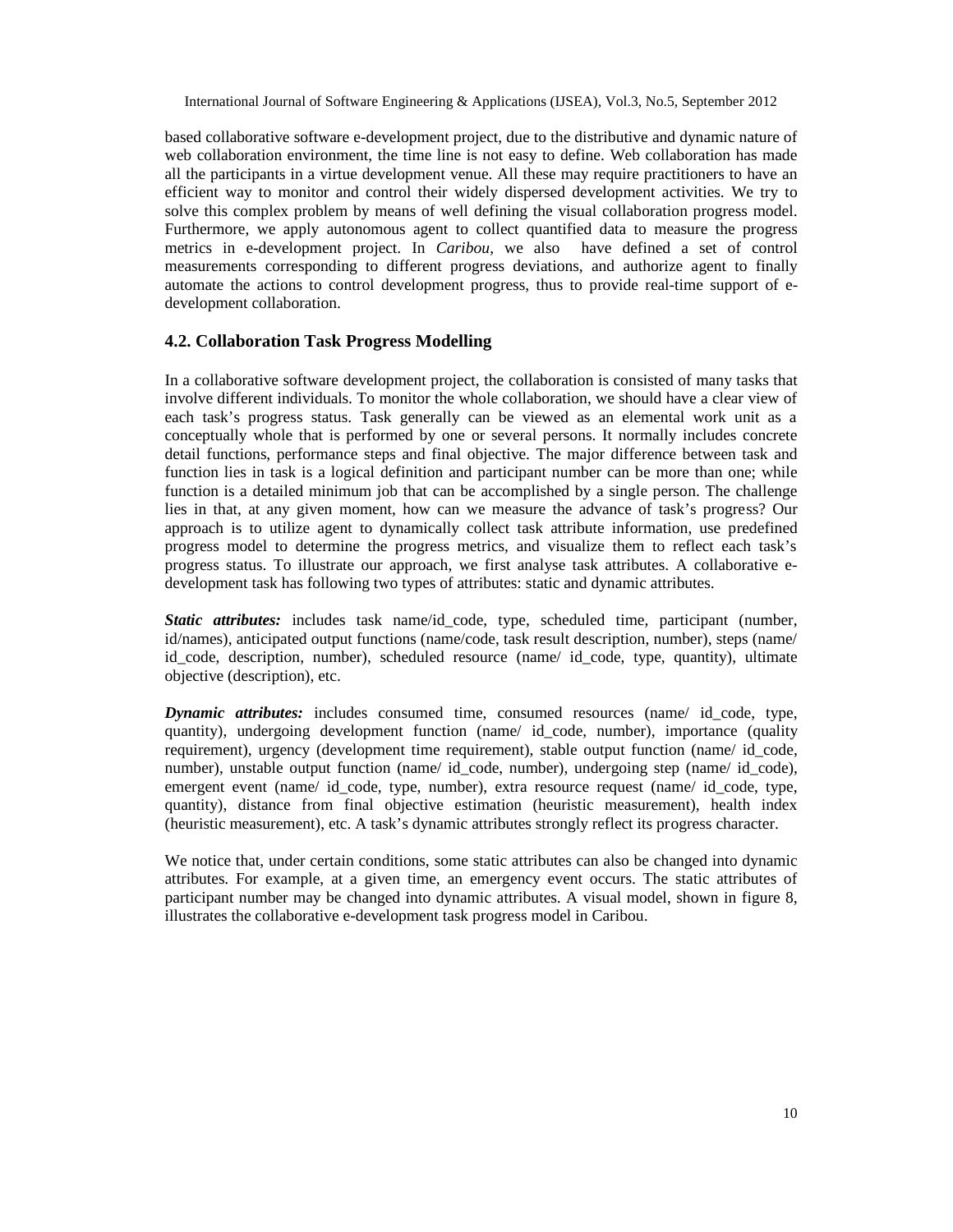based collaborative software e-development project, due to the distributive and dynamic nature of web collaboration environment, the time line is not easy to define. Web collaboration has made all the participants in a virtue development venue. All these may require practitioners to have an efficient way to monitor and control their widely dispersed development activities. We try to solve this complex problem by means of well defining the visual collaboration progress model. Furthermore, we apply autonomous agent to collect quantified data to measure the progress metrics in e-development project. In *Caribou*, we also have defined a set of control measurements corresponding to different progress deviations, and authorize agent to finally automate the actions to control development progress, thus to provide real-time support of edevelopment collaboration.

#### **4.2. Collaboration Task Progress Modelling**

In a collaborative software development project, the collaboration is consisted of many tasks that involve different individuals. To monitor the whole collaboration, we should have a clear view of each task's progress status. Task generally can be viewed as an elemental work unit as a conceptually whole that is performed by one or several persons. It normally includes concrete detail functions, performance steps and final objective. The major difference between task and function lies in task is a logical definition and participant number can be more than one; while function is a detailed minimum job that can be accomplished by a single person. The challenge lies in that, at any given moment, how can we measure the advance of task's progress? Our approach is to utilize agent to dynamically collect task attribute information, use predefined progress model to determine the progress metrics, and visualize them to reflect each task's progress status. To illustrate our approach, we first analyse task attributes. A collaborative edevelopment task has following two types of attributes: static and dynamic attributes.

*Static attributes:* includes task name/id\_code, type, scheduled time, participant (number, id/names), anticipated output functions (name/code, task result description, number), steps (name/ id code, description, number), scheduled resource (name/ id code, type, quantity), ultimate objective (description), etc.

*Dynamic attributes:* includes consumed time, consumed resources (name/ id code, type, quantity), undergoing development function (name/ id\_code, number), importance (quality requirement), urgency (development time requirement), stable output function (name/ id\_code, number), unstable output function (name/ id code, number), undergoing step (name/ id code), emergent event (name/ id\_code, type, number), extra resource request (name/ id\_code, type, quantity), distance from final objective estimation (heuristic measurement), health index (heuristic measurement), etc. A task's dynamic attributes strongly reflect its progress character.

We notice that, under certain conditions, some static attributes can also be changed into dynamic attributes. For example, at a given time, an emergency event occurs. The static attributes of participant number may be changed into dynamic attributes. A visual model, shown in figure 8, illustrates the collaborative e-development task progress model in Caribou.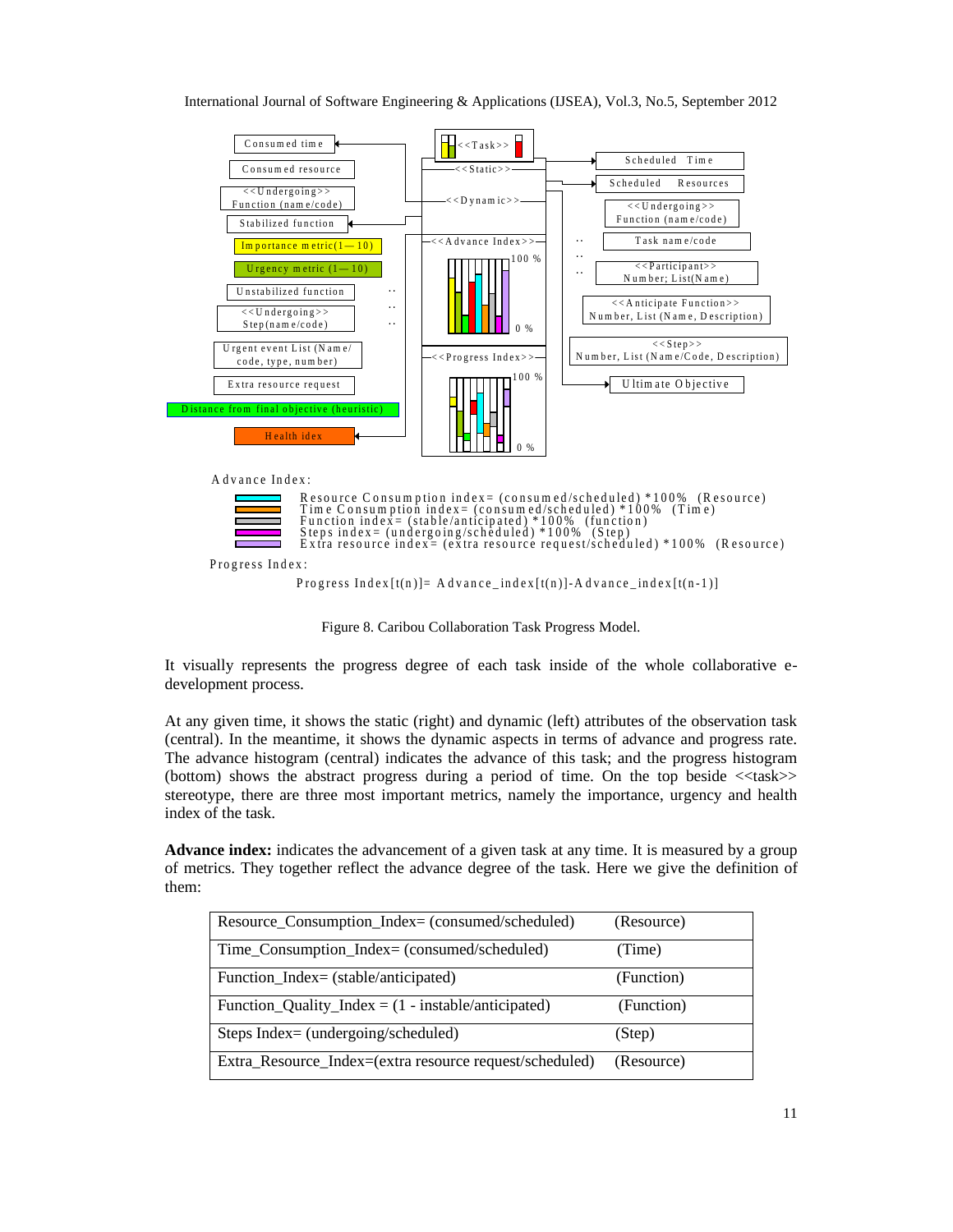

Figure 8. Caribou Collaboration Task Progress Model.

It visually represents the progress degree of each task inside of the whole collaborative edevelopment process.

At any given time, it shows the static (right) and dynamic (left) attributes of the observation task (central). In the meantime, it shows the dynamic aspects in terms of advance and progress rate. The advance histogram (central) indicates the advance of this task; and the progress histogram (bottom) shows the abstract progress during a period of time. On the top beside <<task>> stereotype, there are three most important metrics, namely the importance, urgency and health index of the task.

**Advance index:** indicates the advancement of a given task at any time. It is measured by a group of metrics. They together reflect the advance degree of the task. Here we give the definition of them:

| Resource_Consumption_Index= (consumed/scheduled)             | (Resource) |
|--------------------------------------------------------------|------------|
| Time_Consumption_Index= (consumed/scheduled)                 | (Time)     |
| Function_Index= (stable/anticipated)                         | (Function) |
| Function_Quality_Index = $(1 - \text{instable/anticipated})$ | (Function) |
| Steps Index= (undergoing/scheduled)                          | (Step)     |
| Extra_Resource_Index=(extra resource request/scheduled)      | (Resource) |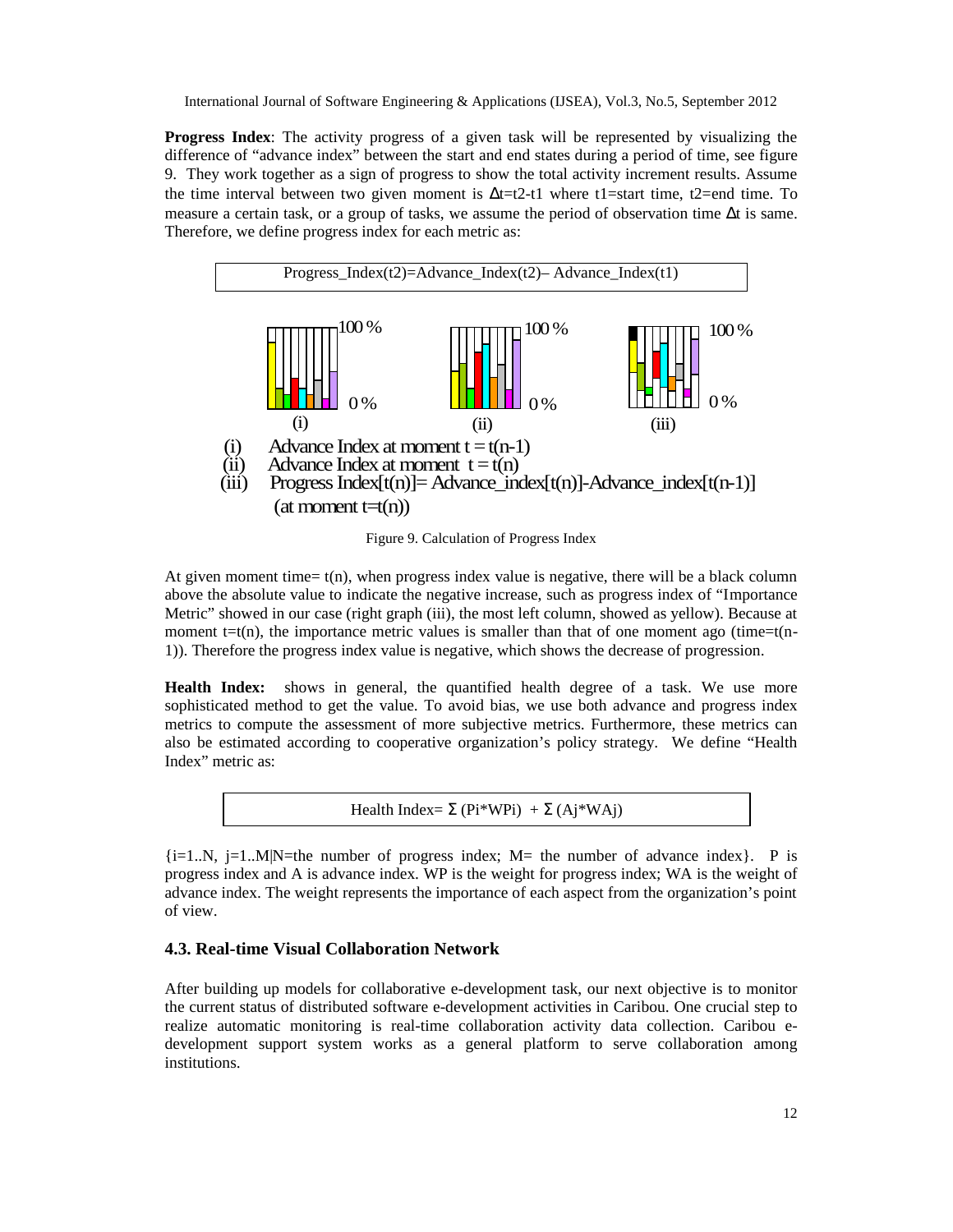**Progress Index**: The activity progress of a given task will be represented by visualizing the difference of "advance index" between the start and end states during a period of time, see figure 9. They work together as a sign of progress to show the total activity increment results. Assume the time interval between two given moment is  $\Delta t = t^2 - t^1$  where t1=start time, t2=end time. To measure a certain task, or a group of tasks, we assume the period of observation time ∆t is same. Therefore, we define progress index for each metric as:



Figure 9. Calculation of Progress Index

At given moment time=  $t(n)$ , when progress index value is negative, there will be a black column above the absolute value to indicate the negative increase, such as progress index of "Importance Metric" showed in our case (right graph (iii), the most left column, showed as yellow). Because at moment  $t=t(n)$ , the importance metric values is smaller than that of one moment ago (time=t(n-1)). Therefore the progress index value is negative, which shows the decrease of progression.

**Health Index:** shows in general, the quantified health degree of a task. We use more sophisticated method to get the value. To avoid bias, we use both advance and progress index metrics to compute the assessment of more subjective metrics. Furthermore, these metrics can also be estimated according to cooperative organization's policy strategy. We define "Health Index" metric as:

Health Index= 
$$
\Sigma
$$
 (Pi\*WPi) +  $\Sigma$  (Aj\*WAj)

 ${i=1..N, j=1..M|N=$  the number of progress index; M= the number of advance index}. P is progress index and A is advance index. WP is the weight for progress index; WA is the weight of advance index. The weight represents the importance of each aspect from the organization's point of view.

# **4.3. Real-time Visual Collaboration Network**

After building up models for collaborative e-development task, our next objective is to monitor the current status of distributed software e-development activities in Caribou. One crucial step to realize automatic monitoring is real-time collaboration activity data collection. Caribou edevelopment support system works as a general platform to serve collaboration among institutions.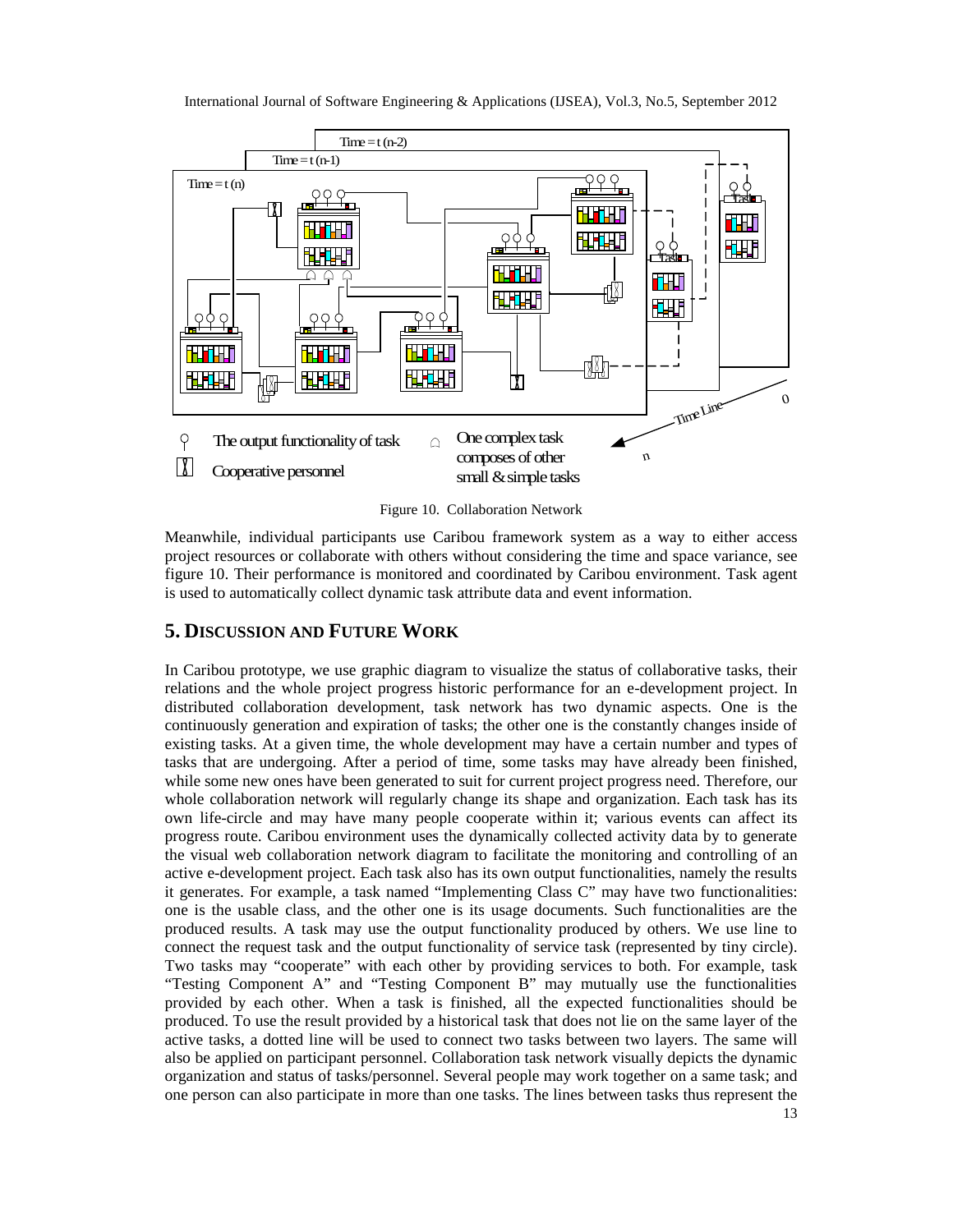



Meanwhile, individual participants use Caribou framework system as a way to either access project resources or collaborate with others without considering the time and space variance, see figure 10. Their performance is monitored and coordinated by Caribou environment. Task agent is used to automatically collect dynamic task attribute data and event information.

# **5. DISCUSSION AND FUTURE WORK**

In Caribou prototype, we use graphic diagram to visualize the status of collaborative tasks, their relations and the whole project progress historic performance for an e-development project. In distributed collaboration development, task network has two dynamic aspects. One is the continuously generation and expiration of tasks; the other one is the constantly changes inside of existing tasks. At a given time, the whole development may have a certain number and types of tasks that are undergoing. After a period of time, some tasks may have already been finished, while some new ones have been generated to suit for current project progress need. Therefore, our whole collaboration network will regularly change its shape and organization. Each task has its own life-circle and may have many people cooperate within it; various events can affect its progress route. Caribou environment uses the dynamically collected activity data by to generate the visual web collaboration network diagram to facilitate the monitoring and controlling of an active e-development project. Each task also has its own output functionalities, namely the results it generates. For example, a task named "Implementing Class C" may have two functionalities: one is the usable class, and the other one is its usage documents. Such functionalities are the produced results. A task may use the output functionality produced by others. We use line to connect the request task and the output functionality of service task (represented by tiny circle). Two tasks may "cooperate" with each other by providing services to both. For example, task "Testing Component A" and "Testing Component B" may mutually use the functionalities provided by each other. When a task is finished, all the expected functionalities should be produced. To use the result provided by a historical task that does not lie on the same layer of the active tasks, a dotted line will be used to connect two tasks between two layers. The same will also be applied on participant personnel. Collaboration task network visually depicts the dynamic organization and status of tasks/personnel. Several people may work together on a same task; and one person can also participate in more than one tasks. The lines between tasks thus represent the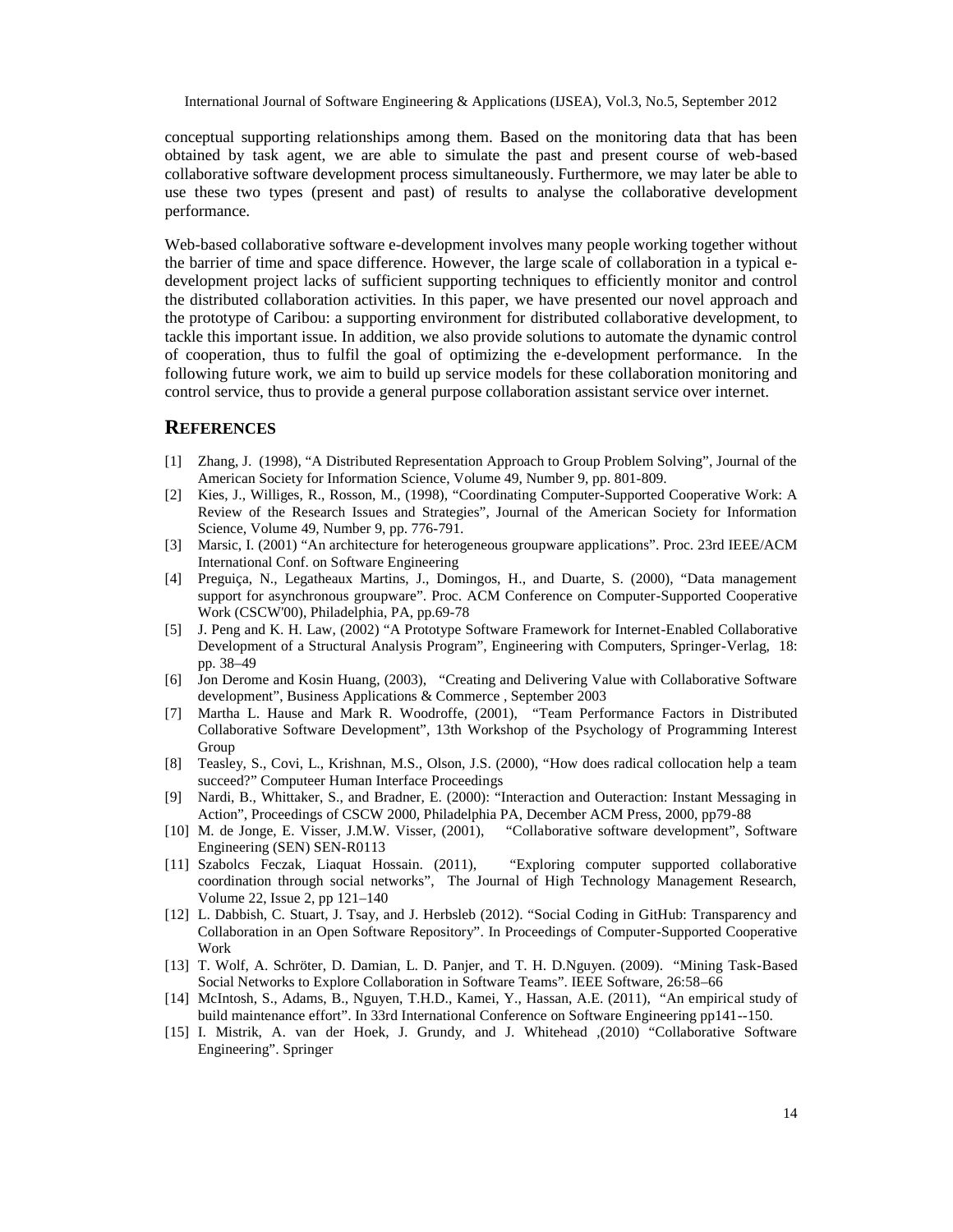conceptual supporting relationships among them. Based on the monitoring data that has been obtained by task agent, we are able to simulate the past and present course of web-based collaborative software development process simultaneously. Furthermore, we may later be able to use these two types (present and past) of results to analyse the collaborative development performance.

Web-based collaborative software e-development involves many people working together without the barrier of time and space difference. However, the large scale of collaboration in a typical edevelopment project lacks of sufficient supporting techniques to efficiently monitor and control the distributed collaboration activities. In this paper, we have presented our novel approach and the prototype of Caribou: a supporting environment for distributed collaborative development, to tackle this important issue. In addition, we also provide solutions to automate the dynamic control of cooperation, thus to fulfil the goal of optimizing the e-development performance. In the following future work, we aim to build up service models for these collaboration monitoring and control service, thus to provide a general purpose collaboration assistant service over internet.

#### **REFERENCES**

- [1] Zhang, J. (1998), "A Distributed Representation Approach to Group Problem Solving", Journal of the American Society for Information Science, Volume 49, Number 9, pp. 801-809.
- [2] Kies, J., Williges, R., Rosson, M., (1998), "Coordinating Computer-Supported Cooperative Work: A Review of the Research Issues and Strategies", Journal of the American Society for Information Science, Volume 49, Number 9, pp. 776-791.
- [3] Marsic, I. (2001) "An architecture for heterogeneous groupware applications". Proc. 23rd IEEE/ACM International Conf. on Software Engineering
- [4] Preguiça, N., Legatheaux Martins, J., Domingos, H., and Duarte, S. (2000), "Data management support for asynchronous groupware". Proc. ACM Conference on Computer-Supported Cooperative Work (CSCW'00), Philadelphia, PA, pp.69-78
- [5] J. Peng and K. H. Law, (2002) "A Prototype Software Framework for Internet-Enabled Collaborative Development of a Structural Analysis Program", Engineering with Computers, Springer-Verlag, 18: pp. 38–49
- [6] Jon Derome and Kosin Huang, (2003), "Creating and Delivering Value with Collaborative Software development", Business Applications & Commerce , September 2003
- [7] Martha L. Hause and Mark R. Woodroffe, (2001), "Team Performance Factors in Distributed Collaborative Software Development", 13th Workshop of the Psychology of Programming Interest Group
- [8] Teasley, S., Covi, L., Krishnan, M.S., Olson, J.S. (2000), "How does radical collocation help a team succeed?" Computeer Human Interface Proceedings
- [9] Nardi, B., Whittaker, S., and Bradner, E. (2000): "Interaction and Outeraction: Instant Messaging in Action", Proceedings of CSCW 2000, Philadelphia PA, December ACM Press, 2000, pp79-88
- [10] M. de Jonge, E. Visser, J.M.W. Visser, (2001), "Collaborative software development", Software Engineering (SEN) SEN-R0113
- [11] Szabolcs Feczak, Liaquat Hossain. (2011), "Exploring computer supported collaborative coordination through social networks", The Journal of High Technology Management Research, Volume 22, Issue 2, pp 121–140
- [12] L. Dabbish, C. Stuart, J. Tsay, and J. Herbsleb (2012). "Social Coding in GitHub: Transparency and Collaboration in an Open Software Repository". In Proceedings of Computer-Supported Cooperative Work
- [13] T. Wolf, A. Schröter, D. Damian, L. D. Panjer, and T. H. D.Nguyen. (2009). "Mining Task-Based Social Networks to Explore Collaboration in Software Teams". IEEE Software, 26:58–66
- [14] McIntosh, S., Adams, B., Nguyen, T.H.D., Kamei, Y., Hassan, A.E. (2011), "An empirical study of build maintenance effort". In 33rd International Conference on Software Engineering pp141--150.
- [15] I. Mistrik, A. van der Hoek, J. Grundy, and J. Whitehead ,(2010) "Collaborative Software Engineering". Springer